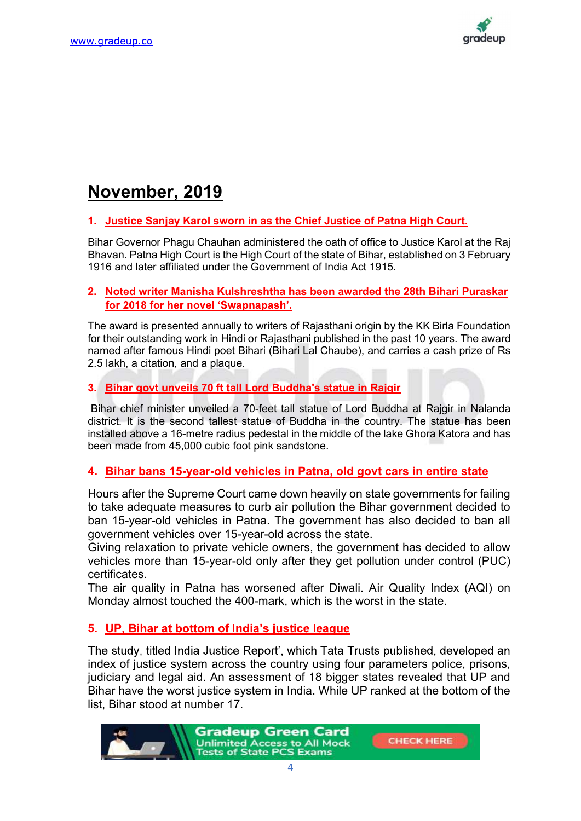

# November, 2019

#### 1. Justice Sanjay Karol sworn in as the Chief Justice of Patna High Court.

Bihar Governor Phagu Chauhan administered the oath of office to Justice Karol at the Raj Bhavan. Patna High Court is the High Court of the state of Bihar, established on 3 February 1916 and later affiliated under the Government of India Act 1915.

#### 2. Noted writer Manisha Kulshreshtha has been awarded the 28th Bihari Puraskar for 2018 for her novel 'Swapnapash'.

The award is presented annually to writers of Rajasthani origin by the KK Birla Foundation for their outstanding work in Hindi or Rajasthani published in the past 10 years. The award named after famous Hindi poet Bihari (Bihari Lal Chaube), and carries a cash prize of Rs 2.5 lakh, a citation, and a plaque.

### 3. Bihar govt unveils 70 ft tall Lord Buddha's statue in Rajgir

 Bihar chief minister unveiled a 70-feet tall statue of Lord Buddha at Rajgir in Nalanda district. It is the second tallest statue of Buddha in the country. The statue has been installed above a 16-metre radius pedestal in the middle of the lake Ghora Katora and has been made from 45,000 cubic foot pink sandstone.

### 4. Bihar bans 15-year-old vehicles in Patna, old govt cars in entire state

Hours after the Supreme Court came down heavily on state governments for failing to take adequate measures to curb air pollution the Bihar government decided to ban 15-year-old vehicles in Patna. The government has also decided to ban all government vehicles over 15-year-old across the state.

Giving relaxation to private vehicle owners, the government has decided to allow vehicles more than 15-year-old only after they get pollution under control (PUC) certificates.

The air quality in Patna has worsened after Diwali. Air Quality Index (AQI) on Monday almost touched the 400-mark, which is the worst in the state.

### 5. UP, Bihar at bottom of India's justice league

The study, titled India Justice Report', which Tata Trusts published, developed an index of justice system across the country using four parameters police, prisons, judiciary and legal aid. An assessment of 18 bigger states revealed that UP and Bihar have the worst justice system in India. While UP ranked at the bottom of the list, Bihar stood at number 17.

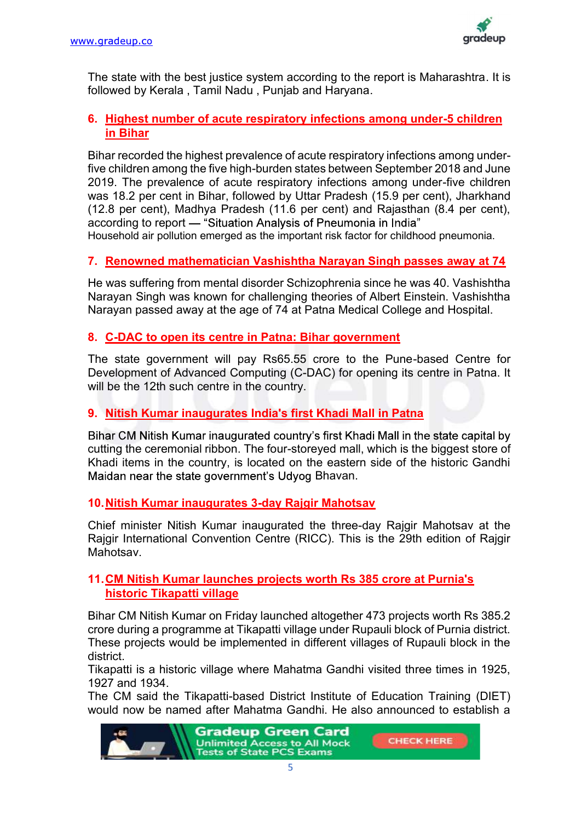

The state with the best justice system according to the report is Maharashtra. It is followed by Kerala , Tamil Nadu , Punjab and Haryana.

## 6. Highest number of acute respiratory infections among under-5 children in Bihar

Bihar recorded the highest prevalence of acute respiratory infections among underfive children among the five high-burden states between September 2018 and June 2019. The prevalence of acute respiratory infections among under-five children was 18.2 per cent in Bihar, followed by Uttar Pradesh (15.9 per cent), Jharkhand (12.8 per cent), Madhya Pradesh (11.6 per cent) and Rajasthan (8.4 per cent), according to report - "Situation Analysis of Pneumonia in India" Household air pollution emerged as the important risk factor for childhood pneumonia.

# 7. Renowned mathematician Vashishtha Narayan Singh passes away at 74

He was suffering from mental disorder Schizophrenia since he was 40. Vashishtha Narayan Singh was known for challenging theories of Albert Einstein. Vashishtha Narayan passed away at the age of 74 at Patna Medical College and Hospital.

## 8. C-DAC to open its centre in Patna: Bihar government

The state government will pay Rs65.55 crore to the Pune-based Centre for Development of Advanced Computing (C-DAC) for opening its centre in Patna. It will be the 12th such centre in the country.

# 9. Nitish Kumar inaugurates India's first Khadi Mall in Patna

Bihar CM Nitish Kumar inaugurated country's first Khadi Mall in the state capital by cutting the ceremonial ribbon. The four-storeyed mall, which is the biggest store of Khadi items in the country, is located on the eastern side of the historic Gandhi Maidan near the state government's Udvog Bhavan.

### 10. Nitish Kumar inaugurates 3-day Rajgir Mahotsav

Chief minister Nitish Kumar inaugurated the three-day Rajgir Mahotsav at the Rajgir International Convention Centre (RICC). This is the 29th edition of Rajgir **Mahotsav** 

### 11. CM Nitish Kumar launches projects worth Rs 385 crore at Purnia's historic Tikapatti village

Bihar CM Nitish Kumar on Friday launched altogether 473 projects worth Rs 385.2 crore during a programme at Tikapatti village under Rupauli block of Purnia district. These projects would be implemented in different villages of Rupauli block in the district.

Tikapatti is a historic village where Mahatma Gandhi visited three times in 1925, 1927 and 1934.

The CM said the Tikapatti-based District Institute of Education Training (DIET) would now be named after Mahatma Gandhi. He also announced to establish a



**CHECK HERE**